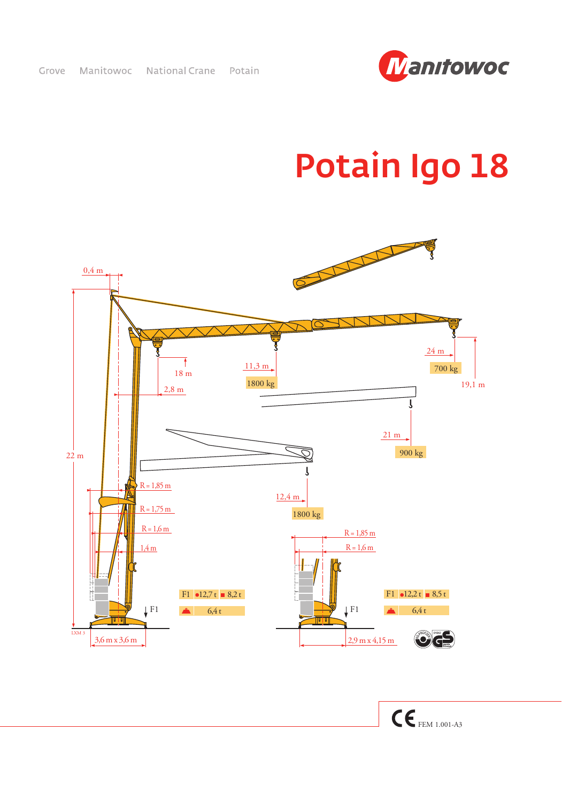

## Potain Igo 18

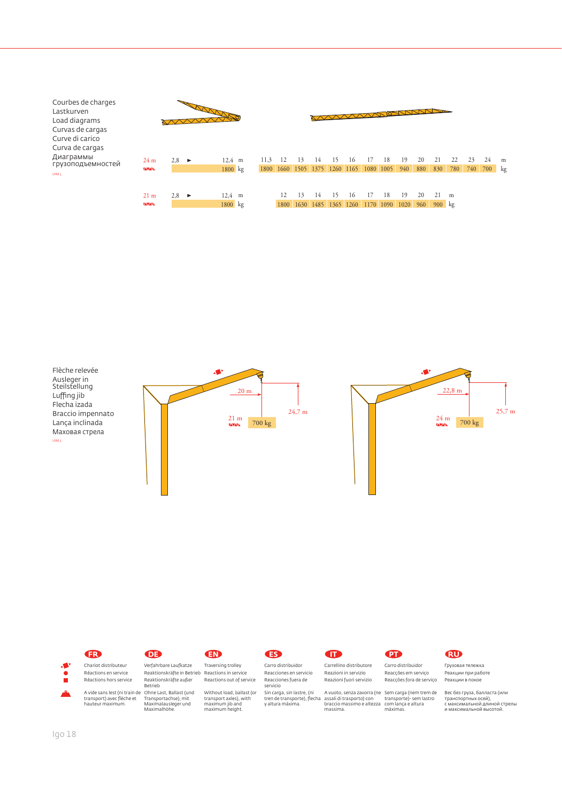





Реакции в покое Вес без груза, балласта (или транспортных осей), с максимальной длиной стрелы и максимальной высотой.

Грузовая тележка Реакции при работе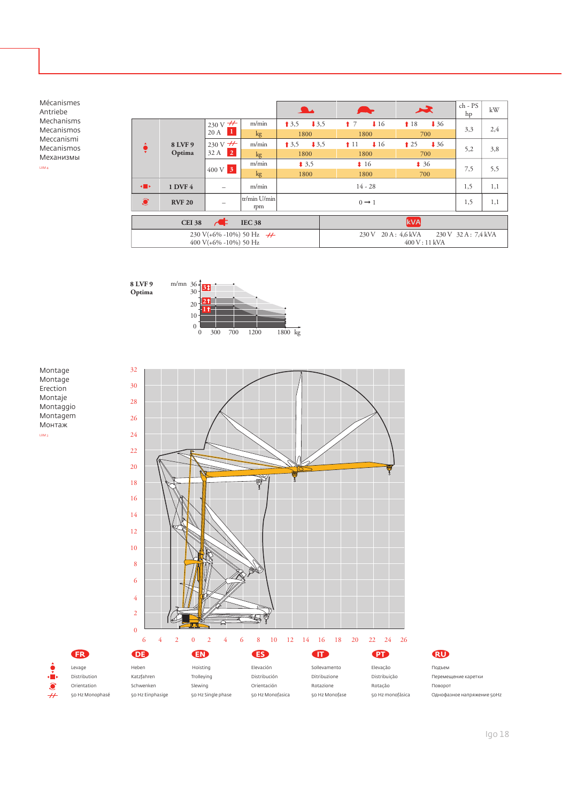Mécanismes Antriebe Mechanisms Mecanismos Meccanismi Mecanismos Механизмы LXM 4

|                                                  |                   |                                    |                     |                   |               | 冰                                  | ch - PS<br>hp       | kW  |
|--------------------------------------------------|-------------------|------------------------------------|---------------------|-------------------|---------------|------------------------------------|---------------------|-----|
| ¢                                                | 8 LVF 9<br>Optima | 230 V $\frac{H}{\sqrt{2}}$<br>20 A | m/min               | 13,5<br>13.5      | 17<br>116     | $\downarrow$ 36<br>18              | 3,3                 | 2,4 |
|                                                  |                   |                                    | kg                  | 1800              | 1800          | 700                                |                     |     |
|                                                  |                   | 230 V $\overline{+}$<br>32 A<br> 2 | m/min               | 13,5<br>13,5      | 116<br>11     | $\downarrow$ 36<br>$\binom{1}{25}$ | 5,2                 | 3,8 |
|                                                  |                   |                                    | kg                  | 1800              | 1800          | 700                                |                     |     |
|                                                  |                   | $400 \text{ V}$ 3                  | m/min               | $*3,5$            | $\ddagger$ 16 | 436                                | 7,5                 | 5,5 |
|                                                  |                   |                                    | kg                  | 1800              | 1800          | 700                                |                     |     |
| $\left\langle \cdot \right $                     | <b>1 DVF 4</b>    |                                    | m/min               | $14 - 28$         |               |                                    | 1,5                 | 1,1 |
| $\bullet$                                        | <b>RVF 20</b>     |                                    | tr/min U/min<br>rpm | $0 \rightarrow 1$ |               |                                    | 1,5                 | 1,1 |
| $\overline{ }$<br><b>IEC 38</b><br><b>CEI 38</b> |                   |                                    |                     |                   |               | <b>kVA</b>                         |                     |     |
| 230 V(+6% -10%) 50 Hz $\rightarrow$              |                   |                                    |                     |                   | 230 V         | $20 \text{A} : 4.6 \text{kVA}$     | 230 V 32 A: 7,4 kVA |     |
| 400 V( $+6\%$ -10%) 50 Hz                        |                   |                                    |                     |                   | 400 V: 11 kVA |                                    |                     |     |



Montage Montage Erection Montaje Montaggio Montagem Монтаж LXM 3

> Levage Distribution Orientation 50 Hz Monophasé

m.  $\widehat{\bullet}$  $\breve{t}$ 





Подъем Перемещение каретки Поворот Однофазное напряжение 50Hz